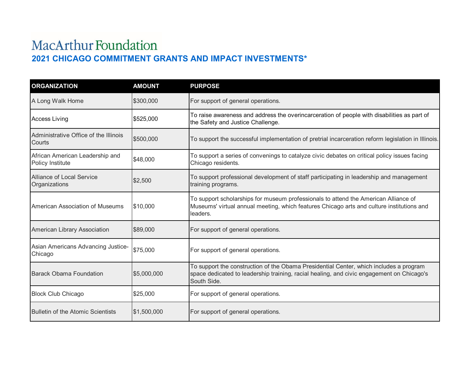## MacArthur Foundation **2021 CHICAGO COMMITMENT GRANTS AND IMPACT INVESTMENTS\***

| <b>ORGANIZATION</b>                                 | <b>AMOUNT</b> | <b>PURPOSE</b>                                                                                                                                                                                     |
|-----------------------------------------------------|---------------|----------------------------------------------------------------------------------------------------------------------------------------------------------------------------------------------------|
| A Long Walk Home                                    | \$300,000     | For support of general operations.                                                                                                                                                                 |
| <b>Access Living</b>                                | \$525,000     | To raise awareness and address the overincarceration of people with disabilities as part of<br>the Safety and Justice Challenge.                                                                   |
| Administrative Office of the Illinois<br>Courts     | \$500,000     | To support the successful implementation of pretrial incarceration reform legislation in Illinois.                                                                                                 |
| African American Leadership and<br>Policy Institute | \$48,000      | To support a series of convenings to catalyze civic debates on critical policy issues facing<br>Chicago residents.                                                                                 |
| Alliance of Local Service<br>Organizations          | \$2,500       | To support professional development of staff participating in leadership and management<br>training programs.                                                                                      |
| American Association of Museums                     | \$10,000      | To support scholarships for museum professionals to attend the American Alliance of<br>Museums' virtual annual meeting, which features Chicago arts and culture institutions and<br>leaders.       |
| American Library Association                        | \$89,000      | For support of general operations.                                                                                                                                                                 |
| Asian Americans Advancing Justice-<br>Chicago       | \$75,000      | For support of general operations.                                                                                                                                                                 |
| <b>Barack Obama Foundation</b>                      | \$5,000,000   | To support the construction of the Obama Presidential Center, which includes a program<br>space dedicated to leadership training, racial healing, and civic engagement on Chicago's<br>South Side. |
| <b>Block Club Chicago</b>                           | \$25,000      | For support of general operations.                                                                                                                                                                 |
| <b>Bulletin of the Atomic Scientists</b>            | \$1,500,000   | For support of general operations.                                                                                                                                                                 |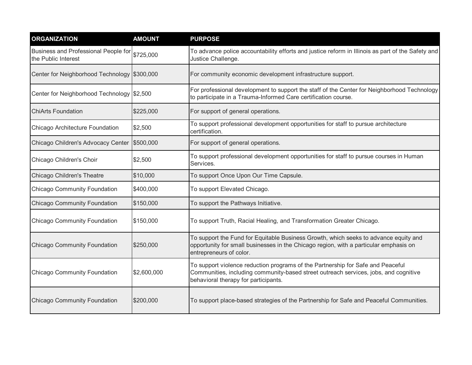| <b>ORGANIZATION</b>                                                   | <b>AMOUNT</b> | <b>PURPOSE</b>                                                                                                                                                                                                  |
|-----------------------------------------------------------------------|---------------|-----------------------------------------------------------------------------------------------------------------------------------------------------------------------------------------------------------------|
| Business and Professional People for \$725,000<br>the Public Interest |               | To advance police accountability efforts and justice reform in Illinois as part of the Safety and<br>Justice Challenge.                                                                                         |
| Center for Neighborhood Technology \$300,000                          |               | For community economic development infrastructure support.                                                                                                                                                      |
| Center for Neighborhood Technology \$2,500                            |               | For professional development to support the staff of the Center for Neighborhood Technology<br>to participate in a Trauma-Informed Care certification course.                                                   |
| <b>ChiArts Foundation</b>                                             | \$225,000     | For support of general operations.                                                                                                                                                                              |
| Chicago Architecture Foundation                                       | \$2,500       | To support professional development opportunities for staff to pursue architecture<br>certification.                                                                                                            |
| Chicago Children's Advocacy Center                                    | \$500,000     | For support of general operations.                                                                                                                                                                              |
| Chicago Children's Choir                                              | \$2,500       | To support professional development opportunities for staff to pursue courses in Human<br>Services.                                                                                                             |
| Chicago Children's Theatre                                            | \$10,000      | To support Once Upon Our Time Capsule.                                                                                                                                                                          |
| <b>Chicago Community Foundation</b>                                   | \$400,000     | To support Elevated Chicago.                                                                                                                                                                                    |
| <b>Chicago Community Foundation</b>                                   | \$150,000     | To support the Pathways Initiative.                                                                                                                                                                             |
| <b>Chicago Community Foundation</b>                                   | \$150,000     | To support Truth, Racial Healing, and Transformation Greater Chicago.                                                                                                                                           |
| <b>Chicago Community Foundation</b>                                   | \$250,000     | To support the Fund for Equitable Business Growth, which seeks to advance equity and<br>opportunity for small businesses in the Chicago region, with a particular emphasis on<br>entrepreneurs of color.        |
| <b>Chicago Community Foundation</b>                                   | \$2,600,000   | To support violence reduction programs of the Partnership for Safe and Peaceful<br>Communities, including community-based street outreach services, jobs, and cognitive<br>behavioral therapy for participants. |
| <b>Chicago Community Foundation</b>                                   | \$200,000     | To support place-based strategies of the Partnership for Safe and Peaceful Communities.                                                                                                                         |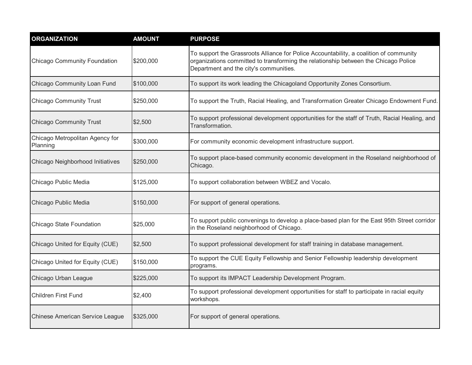| <b>ORGANIZATION</b>                         | <b>AMOUNT</b> | <b>PURPOSE</b>                                                                                                                                                                                                          |
|---------------------------------------------|---------------|-------------------------------------------------------------------------------------------------------------------------------------------------------------------------------------------------------------------------|
| <b>Chicago Community Foundation</b>         | \$200,000     | To support the Grassroots Alliance for Police Accountability, a coalition of community<br>organizations committed to transforming the relationship between the Chicago Police<br>Department and the city's communities. |
| Chicago Community Loan Fund                 | \$100,000     | To support its work leading the Chicagoland Opportunity Zones Consortium.                                                                                                                                               |
| <b>Chicago Community Trust</b>              | \$250,000     | To support the Truth, Racial Healing, and Transformation Greater Chicago Endowment Fund.                                                                                                                                |
| <b>Chicago Community Trust</b>              | \$2,500       | To support professional development opportunities for the staff of Truth, Racial Healing, and<br>Transformation.                                                                                                        |
| Chicago Metropolitan Agency for<br>Planning | \$300,000     | For community economic development infrastructure support.                                                                                                                                                              |
| Chicago Neighborhood Initiatives            | \$250,000     | To support place-based community economic development in the Roseland neighborhood of<br>Chicago.                                                                                                                       |
| Chicago Public Media                        | \$125,000     | To support collaboration between WBEZ and Vocalo.                                                                                                                                                                       |
| Chicago Public Media                        | \$150,000     | For support of general operations.                                                                                                                                                                                      |
| Chicago State Foundation                    | \$25,000      | To support public convenings to develop a place-based plan for the East 95th Street corridor<br>in the Roseland neighborhood of Chicago.                                                                                |
| Chicago United for Equity (CUE)             | \$2,500       | To support professional development for staff training in database management.                                                                                                                                          |
| Chicago United for Equity (CUE)             | \$150,000     | To support the CUE Equity Fellowship and Senior Fellowship leadership development<br>programs.                                                                                                                          |
| Chicago Urban League                        | \$225,000     | To support its IMPACT Leadership Development Program.                                                                                                                                                                   |
| <b>Children First Fund</b>                  | \$2,400       | To support professional development opportunities for staff to participate in racial equity<br>workshops.                                                                                                               |
| <b>Chinese American Service League</b>      | \$325,000     | For support of general operations.                                                                                                                                                                                      |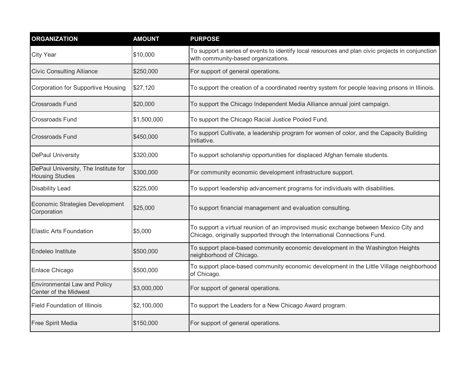| <b>ORGANIZATION</b>                                            | <b>AMOUNT</b> | <b>PURPOSE</b>                                                                                                                                                    |
|----------------------------------------------------------------|---------------|-------------------------------------------------------------------------------------------------------------------------------------------------------------------|
| <b>City Year</b>                                               | \$10,000      | To support a series of events to identify local resources and plan civic projects in conjunction<br>with community-based organizations.                           |
| <b>Civic Consulting Alliance</b>                               | \$250,000     | For support of general operations.                                                                                                                                |
| Corporation for Supportive Housing                             | \$27,120      | To support the creation of a coordinated reentry system for people leaving prisons in Illinois.                                                                   |
| <b>Crossroads Fund</b>                                         | \$20,000      | To support the Chicago Independent Media Alliance annual joint campaign.                                                                                          |
| <b>Crossroads Fund</b>                                         | \$1,500,000   | To support the Chicago Racial Justice Pooled Fund.                                                                                                                |
| <b>Crossroads Fund</b>                                         | \$450,000     | To support Cultivate, a leadership program for women of color, and the Capacity Building<br>Initiative.                                                           |
| <b>DePaul University</b>                                       | \$320,000     | To support scholarship opportunities for displaced Afghan female students.                                                                                        |
| DePaul University, The Institute for<br><b>Housing Studies</b> | \$300,000     | For community economic development infrastructure support.                                                                                                        |
| <b>Disability Lead</b>                                         | \$225,000     | To support leadership advancement programs for individuals with disabilities.                                                                                     |
| Economic Strategies Development<br>Corporation                 | \$25,000      | To support financial management and evaluation consulting.                                                                                                        |
| <b>Elastic Arts Foundation</b>                                 | \$5,000       | To support a virtual reunion of an improvised music exchange between Mexico City and<br>Chicago, originally supported through the International Connections Fund. |
| Endeleo Institute                                              | \$500,000     | To support place-based community economic development in the Washington Heights<br>neighborhood of Chicago.                                                       |
| Enlace Chicago                                                 | \$500,000     | To support place-based community economic development in the Little Village neighborhood<br>of Chicago.                                                           |
| <b>Environmental Law and Policy</b><br>Center of the Midwest   | \$3,000,000   | For support of general operations.                                                                                                                                |
| <b>Field Foundation of Illinois</b>                            | \$2,100,000   | To support the Leaders for a New Chicago Award program.                                                                                                           |
| Free Spirit Media                                              | \$150,000     | For support of general operations.                                                                                                                                |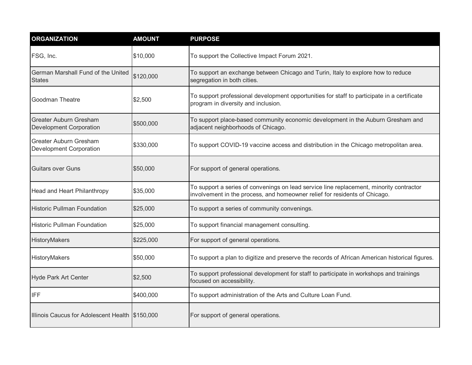| <b>ORGANIZATION</b>                                             | <b>AMOUNT</b> | <b>PURPOSE</b>                                                                                                                                                        |
|-----------------------------------------------------------------|---------------|-----------------------------------------------------------------------------------------------------------------------------------------------------------------------|
| FSG, Inc.                                                       | \$10,000      | To support the Collective Impact Forum 2021.                                                                                                                          |
| German Marshall Fund of the United<br><b>States</b>             | \$120,000     | To support an exchange between Chicago and Turin, Italy to explore how to reduce<br>segregation in both cities.                                                       |
| <b>Goodman Theatre</b>                                          | \$2,500       | To support professional development opportunities for staff to participate in a certificate<br>program in diversity and inclusion.                                    |
| <b>Greater Auburn Gresham</b><br><b>Development Corporation</b> | \$500,000     | To support place-based community economic development in the Auburn Gresham and<br>adjacent neighborhoods of Chicago.                                                 |
| <b>Greater Auburn Gresham</b><br><b>Development Corporation</b> | \$330,000     | To support COVID-19 vaccine access and distribution in the Chicago metropolitan area.                                                                                 |
| <b>Guitars over Guns</b>                                        | \$50,000      | For support of general operations.                                                                                                                                    |
| Head and Heart Philanthropy                                     | \$35,000      | To support a series of convenings on lead service line replacement, minority contractor<br>involvement in the process, and homeowner relief for residents of Chicago. |
| <b>Historic Pullman Foundation</b>                              | \$25,000      | To support a series of community convenings.                                                                                                                          |
| <b>Historic Pullman Foundation</b>                              | \$25,000      | To support financial management consulting.                                                                                                                           |
| HistoryMakers                                                   | \$225,000     | For support of general operations.                                                                                                                                    |
| HistoryMakers                                                   | \$50,000      | To support a plan to digitize and preserve the records of African American historical figures.                                                                        |
| Hyde Park Art Center                                            | \$2,500       | To support professional development for staff to participate in workshops and trainings<br>focused on accessibility.                                                  |
| <b>IFF</b>                                                      | \$400,000     | To support administration of the Arts and Culture Loan Fund.                                                                                                          |
| Illinois Caucus for Adolescent Health \$150,000                 |               | For support of general operations.                                                                                                                                    |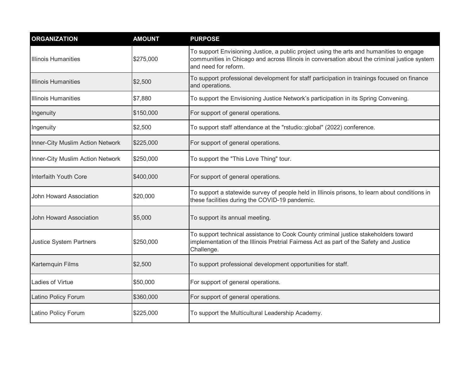| <b>ORGANIZATION</b>                     | <b>AMOUNT</b> | <b>PURPOSE</b>                                                                                                                                                                                                   |
|-----------------------------------------|---------------|------------------------------------------------------------------------------------------------------------------------------------------------------------------------------------------------------------------|
| <b>Illinois Humanities</b>              | \$275,000     | To support Envisioning Justice, a public project using the arts and humanities to engage<br>communities in Chicago and across Illinois in conversation about the criminal justice system<br>and need for reform. |
| <b>Illinois Humanities</b>              | \$2,500       | To support professional development for staff participation in trainings focused on finance<br>and operations.                                                                                                   |
| <b>Illinois Humanities</b>              | \$7,880       | To support the Envisioning Justice Network's participation in its Spring Convening.                                                                                                                              |
| Ingenuity                               | \$150,000     | For support of general operations.                                                                                                                                                                               |
| Ingenuity                               | \$2,500       | To support staff attendance at the "rstudio::global" (2022) conference.                                                                                                                                          |
| <b>Inner-City Muslim Action Network</b> | \$225,000     | For support of general operations.                                                                                                                                                                               |
| Inner-City Muslim Action Network        | \$250,000     | To support the "This Love Thing" tour.                                                                                                                                                                           |
| Interfaith Youth Core                   | \$400,000     | For support of general operations.                                                                                                                                                                               |
| <b>John Howard Association</b>          | \$20,000      | To support a statewide survey of people held in Illinois prisons, to learn about conditions in<br>these facilities during the COVID-19 pandemic.                                                                 |
| John Howard Association                 | \$5,000       | To support its annual meeting.                                                                                                                                                                                   |
| <b>Justice System Partners</b>          | \$250,000     | To support technical assistance to Cook County criminal justice stakeholders toward<br>implementation of the Illinois Pretrial Fairness Act as part of the Safety and Justice<br>Challenge.                      |
| Kartemquin Films                        | \$2,500       | To support professional development opportunities for staff.                                                                                                                                                     |
| Ladies of Virtue                        | \$50,000      | For support of general operations.                                                                                                                                                                               |
| Latino Policy Forum                     | \$360,000     | For support of general operations.                                                                                                                                                                               |
| Latino Policy Forum                     | \$225,000     | To support the Multicultural Leadership Academy.                                                                                                                                                                 |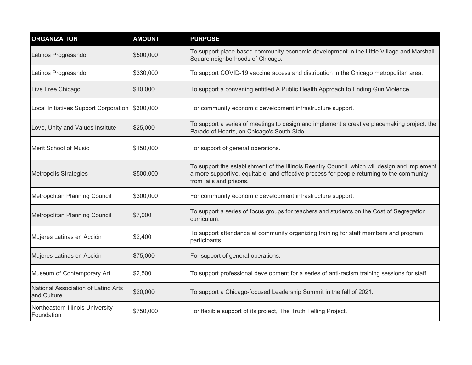| <b>ORGANIZATION</b>                                | <b>AMOUNT</b> | <b>PURPOSE</b>                                                                                                                                                                                                        |
|----------------------------------------------------|---------------|-----------------------------------------------------------------------------------------------------------------------------------------------------------------------------------------------------------------------|
| Latinos Progresando                                | \$500,000     | To support place-based community economic development in the Little Village and Marshall<br>Square neighborhoods of Chicago.                                                                                          |
| Latinos Progresando                                | \$330,000     | To support COVID-19 vaccine access and distribution in the Chicago metropolitan area.                                                                                                                                 |
| Live Free Chicago                                  | \$10,000      | To support a convening entitled A Public Health Approach to Ending Gun Violence.                                                                                                                                      |
| Local Initiatives Support Corporation              | \$300,000     | For community economic development infrastructure support.                                                                                                                                                            |
| Love, Unity and Values Institute                   | \$25,000      | To support a series of meetings to design and implement a creative placemaking project, the<br>Parade of Hearts, on Chicago's South Side.                                                                             |
| Merit School of Music                              | \$150,000     | For support of general operations.                                                                                                                                                                                    |
| <b>Metropolis Strategies</b>                       | \$500,000     | To support the establishment of the Illinois Reentry Council, which will design and implement<br>a more supportive, equitable, and effective process for people returning to the community<br>from jails and prisons. |
| Metropolitan Planning Council                      | \$300,000     | For community economic development infrastructure support.                                                                                                                                                            |
| Metropolitan Planning Council                      | \$7,000       | To support a series of focus groups for teachers and students on the Cost of Segregation<br>curriculum.                                                                                                               |
| Mujeres Latinas en Acción                          | \$2,400       | To support attendance at community organizing training for staff members and program<br>participants.                                                                                                                 |
| Mujeres Latinas en Acción                          | \$75,000      | For support of general operations.                                                                                                                                                                                    |
| Museum of Contemporary Art                         | \$2,500       | To support professional development for a series of anti-racism training sessions for staff.                                                                                                                          |
| National Association of Latino Arts<br>and Culture | \$20,000      | To support a Chicago-focused Leadership Summit in the fall of 2021.                                                                                                                                                   |
| Northeastern Illinois University<br>Foundation     | \$750,000     | For flexible support of its project, The Truth Telling Project.                                                                                                                                                       |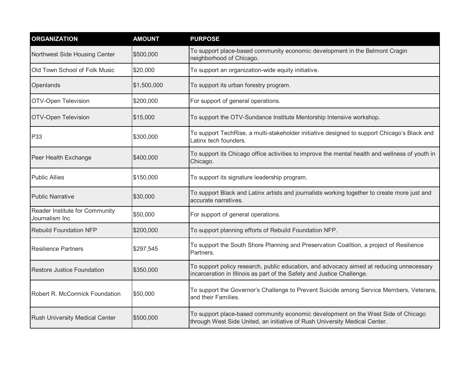| <b>ORGANIZATION</b>                              | <b>AMOUNT</b> | <b>PURPOSE</b>                                                                                                                                                     |
|--------------------------------------------------|---------------|--------------------------------------------------------------------------------------------------------------------------------------------------------------------|
| Northwest Side Housing Center                    | \$500,000     | To support place-based community economic development in the Belmont Cragin<br>neighborhood of Chicago.                                                            |
| Old Town School of Folk Music                    | \$20,000      | To support an organization-wide equity initiative.                                                                                                                 |
| Openlands                                        | \$1,500,000   | To support its urban forestry program.                                                                                                                             |
| OTV-Open Television                              | \$200,000     | For support of general operations.                                                                                                                                 |
| OTV-Open Television                              | \$15,000      | To support the OTV-Sundance Institute Mentorship Intensive workshop.                                                                                               |
| P33                                              | \$300,000     | To support TechRise, a multi-stakeholder initiative designed to support Chicago's Black and<br>Latinx tech founders.                                               |
| Peer Health Exchange                             | \$400,000     | To support its Chicago office activities to improve the mental health and wellness of youth in<br>Chicago.                                                         |
| <b>Public Allies</b>                             | \$150,000     | To support its signature leadership program.                                                                                                                       |
| <b>Public Narrative</b>                          | \$30,000      | To support Black and Latinx artists and journalists working together to create more just and<br>accurate narratives.                                               |
| Reader Institute for Community<br>Journalism Inc | \$50,000      | For support of general operations.                                                                                                                                 |
| <b>Rebuild Foundation NFP</b>                    | \$200,000     | To support planning efforts of Rebuild Foundation NFP.                                                                                                             |
| <b>Resilience Partners</b>                       | \$297,545     | To support the South Shore Planning and Preservation Coalition, a project of Resilience<br>Partners.                                                               |
| <b>Restore Justice Foundation</b>                | \$350,000     | To support policy research, public education, and advocacy aimed at reducing unnecessary<br>incarceration in Illinois as part of the Safety and Justice Challenge. |
| Robert R. McCormick Foundation                   | \$50,000      | To support the Governor's Challenge to Prevent Suicide among Service Members, Veterans,<br>and their Families.                                                     |
| Rush University Medical Center                   | \$500,000     | To support place-based community economic development on the West Side of Chicago<br>through West Side United, an initiative of Rush University Medical Center.    |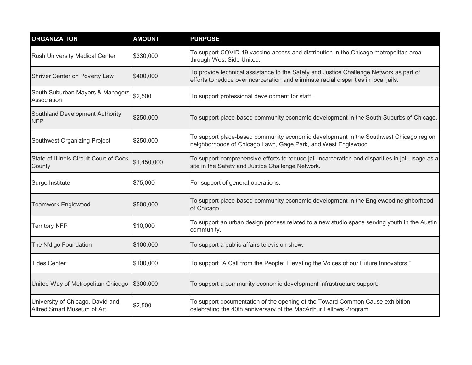| <b>ORGANIZATION</b>                                            | <b>AMOUNT</b> | <b>PURPOSE</b>                                                                                                                                                                 |
|----------------------------------------------------------------|---------------|--------------------------------------------------------------------------------------------------------------------------------------------------------------------------------|
| Rush University Medical Center                                 | \$330,000     | To support COVID-19 vaccine access and distribution in the Chicago metropolitan area<br>through West Side United.                                                              |
| Shriver Center on Poverty Law                                  | \$400,000     | To provide technical assistance to the Safety and Justice Challenge Network as part of<br>efforts to reduce overincarceration and eliminate racial disparities in local jails. |
| South Suburban Mayors & Managers<br>Association                | \$2,500       | To support professional development for staff.                                                                                                                                 |
| Southland Development Authority<br><b>NFP</b>                  | \$250,000     | To support place-based community economic development in the South Suburbs of Chicago.                                                                                         |
| Southwest Organizing Project                                   | \$250,000     | To support place-based community economic development in the Southwest Chicago region<br>neighborhoods of Chicago Lawn, Gage Park, and West Englewood.                         |
| State of Illinois Circuit Court of Cook<br>County              | \$1,450,000   | To support comprehensive efforts to reduce jail incarceration and disparities in jail usage as a<br>site in the Safety and Justice Challenge Network.                          |
| Surge Institute                                                | \$75,000      | For support of general operations.                                                                                                                                             |
| <b>Teamwork Englewood</b>                                      | \$500,000     | To support place-based community economic development in the Englewood neighborhood<br>of Chicago.                                                                             |
| <b>Territory NFP</b>                                           | \$10,000      | To support an urban design process related to a new studio space serving youth in the Austin<br>community.                                                                     |
| The N'digo Foundation                                          | \$100,000     | To support a public affairs television show.                                                                                                                                   |
| <b>Tides Center</b>                                            | \$100,000     | To support "A Call from the People: Elevating the Voices of our Future Innovators."                                                                                            |
| United Way of Metropolitan Chicago                             | \$300,000     | To support a community economic development infrastructure support.                                                                                                            |
| University of Chicago, David and<br>Alfred Smart Museum of Art | \$2,500       | To support documentation of the opening of the Toward Common Cause exhibition<br>celebrating the 40th anniversary of the MacArthur Fellows Program.                            |